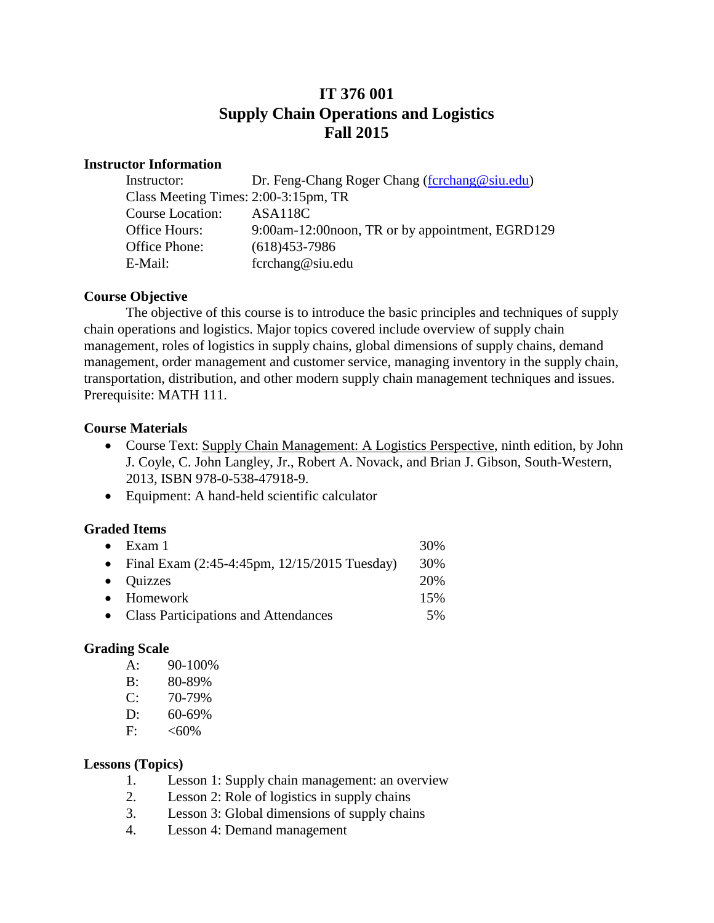# **IT 376 001 Supply Chain Operations and Logistics Fall 2015**

### **Instructor Information**

| Instructor:                          | Dr. Feng-Chang Roger Chang (fcrchang@siu.edu)   |
|--------------------------------------|-------------------------------------------------|
| Class Meeting Times: 2:00-3:15pm, TR |                                                 |
| <b>Course Location:</b>              | ASA118C                                         |
| Office Hours:                        | 9:00am-12:00noon, TR or by appointment, EGRD129 |
| Office Phone:                        | $(618)453-7986$                                 |
| E-Mail:                              | fcrchang@siu.edu                                |

## **Course Objective**

The objective of this course is to introduce the basic principles and techniques of supply chain operations and logistics. Major topics covered include overview of supply chain management, roles of logistics in supply chains, global dimensions of supply chains, demand management, order management and customer service, managing inventory in the supply chain, transportation, distribution, and other modern supply chain management techniques and issues. Prerequisite: MATH 111.

#### **Course Materials**

- Course Text: Supply Chain Management: A Logistics Perspective, ninth edition, by John J. Coyle, C. John Langley, Jr., Robert A. Novack, and Brian J. Gibson, South-Western, 2013, ISBN 978-0-538-47918-9.
- Equipment: A hand-held scientific calculator

## **Graded Items**

| $\bullet$ Exam 1                                                 | 30% |
|------------------------------------------------------------------|-----|
| • Final Exam $(2:45-4:45 \text{pm}, 12/15/2015 \text{ Tuesday})$ | 30% |
| $\bullet$ Quizzes                                                | 20% |
| • Homework                                                       | 15% |
| • Class Participations and Attendances                           | 5%  |

#### **Grading Scale**

- $A: 90-100\%$ B: 80-89% C: 70-79%
- D: 60-69%
- F:  $<60\%$

### **Lessons (Topics)**

- 1. Lesson 1: Supply chain management: an overview
- 2. Lesson 2: Role of logistics in supply chains
- 3. Lesson 3: Global dimensions of supply chains
- 4. Lesson 4: Demand management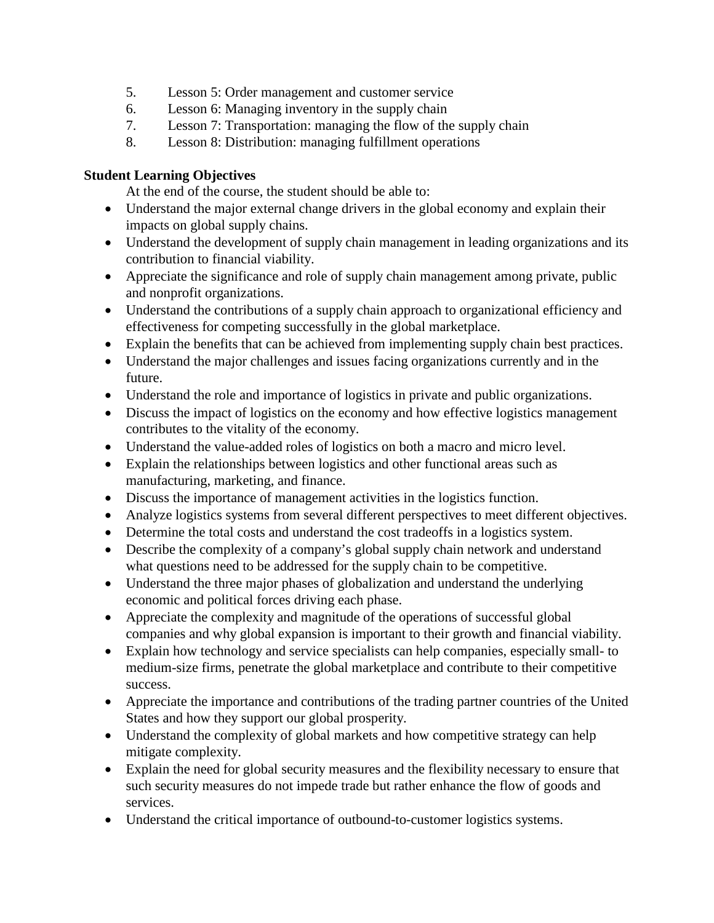- 5. Lesson 5: Order management and customer service
- 6. Lesson 6: Managing inventory in the supply chain
- 7. Lesson 7: Transportation: managing the flow of the supply chain
- 8. Lesson 8: Distribution: managing fulfillment operations

## **Student Learning Objectives**

At the end of the course, the student should be able to:

- Understand the major external change drivers in the global economy and explain their impacts on global supply chains.
- Understand the development of supply chain management in leading organizations and its contribution to financial viability.
- Appreciate the significance and role of supply chain management among private, public and nonprofit organizations.
- Understand the contributions of a supply chain approach to organizational efficiency and effectiveness for competing successfully in the global marketplace.
- Explain the benefits that can be achieved from implementing supply chain best practices.
- Understand the major challenges and issues facing organizations currently and in the future.
- Understand the role and importance of logistics in private and public organizations.
- Discuss the impact of logistics on the economy and how effective logistics management contributes to the vitality of the economy.
- Understand the value-added roles of logistics on both a macro and micro level.
- Explain the relationships between logistics and other functional areas such as manufacturing, marketing, and finance.
- Discuss the importance of management activities in the logistics function.
- Analyze logistics systems from several different perspectives to meet different objectives.
- Determine the total costs and understand the cost tradeoffs in a logistics system.
- Describe the complexity of a company's global supply chain network and understand what questions need to be addressed for the supply chain to be competitive.
- Understand the three major phases of globalization and understand the underlying economic and political forces driving each phase.
- Appreciate the complexity and magnitude of the operations of successful global companies and why global expansion is important to their growth and financial viability.
- Explain how technology and service specialists can help companies, especially small- to medium-size firms, penetrate the global marketplace and contribute to their competitive success.
- Appreciate the importance and contributions of the trading partner countries of the United States and how they support our global prosperity.
- Understand the complexity of global markets and how competitive strategy can help mitigate complexity.
- Explain the need for global security measures and the flexibility necessary to ensure that such security measures do not impede trade but rather enhance the flow of goods and services.
- Understand the critical importance of outbound-to-customer logistics systems.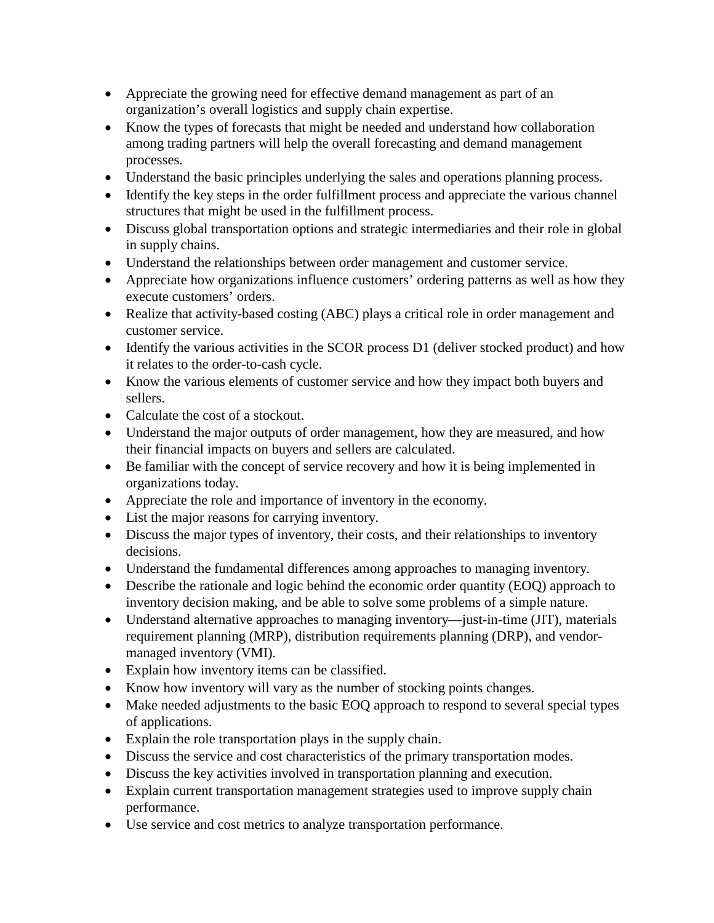- Appreciate the growing need for effective demand management as part of an organization's overall logistics and supply chain expertise.
- Know the types of forecasts that might be needed and understand how collaboration among trading partners will help the overall forecasting and demand management processes.
- Understand the basic principles underlying the sales and operations planning process.
- Identify the key steps in the order fulfillment process and appreciate the various channel structures that might be used in the fulfillment process.
- Discuss global transportation options and strategic intermediaries and their role in global in supply chains.
- Understand the relationships between order management and customer service.
- Appreciate how organizations influence customers' ordering patterns as well as how they execute customers' orders.
- Realize that activity-based costing (ABC) plays a critical role in order management and customer service.
- Identify the various activities in the SCOR process D1 (deliver stocked product) and how it relates to the order-to-cash cycle.
- Know the various elements of customer service and how they impact both buyers and sellers.
- Calculate the cost of a stockout.
- Understand the major outputs of order management, how they are measured, and how their financial impacts on buyers and sellers are calculated.
- Be familiar with the concept of service recovery and how it is being implemented in organizations today.
- Appreciate the role and importance of inventory in the economy.
- List the major reasons for carrying inventory.
- Discuss the major types of inventory, their costs, and their relationships to inventory decisions.
- Understand the fundamental differences among approaches to managing inventory.
- Describe the rationale and logic behind the economic order quantity (EOQ) approach to inventory decision making, and be able to solve some problems of a simple nature.
- Understand alternative approaches to managing inventory—just-in-time (JIT), materials requirement planning (MRP), distribution requirements planning (DRP), and vendormanaged inventory (VMI).
- Explain how inventory items can be classified.
- Know how inventory will vary as the number of stocking points changes.
- Make needed adjustments to the basic EOQ approach to respond to several special types of applications.
- Explain the role transportation plays in the supply chain.
- Discuss the service and cost characteristics of the primary transportation modes.
- Discuss the key activities involved in transportation planning and execution.
- Explain current transportation management strategies used to improve supply chain performance.
- Use service and cost metrics to analyze transportation performance.